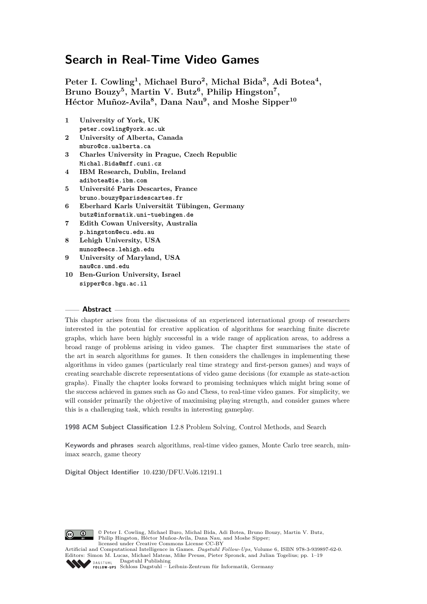**Peter I. Cowling<sup>1</sup> , Michael Buro<sup>2</sup> , Michal Bida<sup>3</sup> , Adi Botea<sup>4</sup> , Bruno Bouzy<sup>5</sup> , Martin V. Butz<sup>6</sup> , Philip Hingston<sup>7</sup> , Héctor Muñoz-Avila<sup>8</sup> , Dana Nau<sup>9</sup> , and Moshe Sipper<sup>10</sup>**

- **1 University of York, UK peter.cowling@york.ac.uk**
- **2 University of Alberta, Canada mburo@cs.ualberta.ca**
- **3 Charles University in Prague, Czech Republic Michal.Bida@mff.cuni.cz**
- **4 IBM Research, Dublin, Ireland adibotea@ie.ibm.com**
- **5 Université Paris Descartes, France bruno.bouzy@parisdescartes.fr**
- **6 Eberhard Karls Universität Tübingen, Germany butz@informatik.uni-tuebingen.de**
- **7 Edith Cowan University, Australia p.hingston@ecu.edu.au**
- **8 Lehigh University, USA munoz@eecs.lehigh.edu**
- **9 University of Maryland, USA nau@cs.umd.edu**
- **10 Ben-Gurion University, Israel sipper@cs.bgu.ac.il**

## **Abstract**

This chapter arises from the discussions of an experienced international group of researchers interested in the potential for creative application of algorithms for searching finite discrete graphs, which have been highly successful in a wide range of application areas, to address a broad range of problems arising in video games. The chapter first summarises the state of the art in search algorithms for games. It then considers the challenges in implementing these algorithms in video games (particularly real time strategy and first-person games) and ways of creating searchable discrete representations of video game decisions (for example as state-action graphs). Finally the chapter looks forward to promising techniques which might bring some of the success achieved in games such as Go and Chess, to real-time video games. For simplicity, we will consider primarily the objective of maximising playing strength, and consider games where this is a challenging task, which results in interesting gameplay.

**1998 ACM Subject Classification** I.2.8 Problem Solving, Control Methods, and Search

**Keywords and phrases** search algorithms, real-time video games, Monte Carlo tree search, minimax search, game theory

**Digital Object Identifier** [10.4230/DFU.Vol6.12191.1](http://dx.doi.org/10.4230/DFU.Vol6.12191.1)



© Peter I. Cowling, Michael Buro, Michal Bida, Adi Botea, Bruno Bouzy, Martin V. Butz, Philip Hingston, Héctor Muñoz-Avila, Dana Nau, and Moshe Sipper; licensed under Creative Commons License CC-BY

Artificial and Computational Intelligence in Games. *Dagstuhl Fol low-Ups*, Volume 6, [ISBN 978-3-939897-62-0.](http://www.dagstuhl.de/dagpub/978-3-939897-62-0) Editors: Simon M. Lucas, Michael Mateas, Mike Preuss, Pieter Spronck, and Julian Togelius; pp. 1[–19](#page-18-0) Dagstuhl Publishing DAGSTUHL

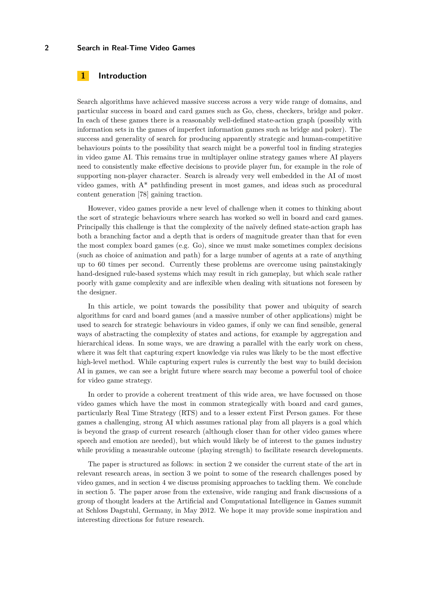## **1 Introduction**

Search algorithms have achieved massive success across a very wide range of domains, and particular success in board and card games such as Go, chess, checkers, bridge and poker. In each of these games there is a reasonably well-defined state-action graph (possibly with information sets in the games of imperfect information games such as bridge and poker). The success and generality of search for producing apparently strategic and human-competitive behaviours points to the possibility that search might be a powerful tool in finding strategies in video game AI. This remains true in multiplayer online strategy games where AI players need to consistently make effective decisions to provide player fun, for example in the role of supporting non-player character. Search is already very well embedded in the AI of most video games, with A\* pathfinding present in most games, and ideas such as procedural content generation [\[78\]](#page-18-1) gaining traction.

However, video games provide a new level of challenge when it comes to thinking about the sort of strategic behaviours where search has worked so well in board and card games. Principally this challenge is that the complexity of the naïvely defined state-action graph has both a branching factor and a depth that is orders of magnitude greater than that for even the most complex board games (e.g. Go), since we must make sometimes complex decisions (such as choice of animation and path) for a large number of agents at a rate of anything up to 60 times per second. Currently these problems are overcome using painstakingly hand-designed rule-based systems which may result in rich gameplay, but which scale rather poorly with game complexity and are inflexible when dealing with situations not foreseen by the designer.

In this article, we point towards the possibility that power and ubiquity of search algorithms for card and board games (and a massive number of other applications) might be used to search for strategic behaviours in video games, if only we can find sensible, general ways of abstracting the complexity of states and actions, for example by aggregation and hierarchical ideas. In some ways, we are drawing a parallel with the early work on chess, where it was felt that capturing expert knowledge via rules was likely to be the most effective high-level method. While capturing expert rules is currently the best way to build decision AI in games, we can see a bright future where search may become a powerful tool of choice for video game strategy.

In order to provide a coherent treatment of this wide area, we have focussed on those video games which have the most in common strategically with board and card games, particularly Real Time Strategy (RTS) and to a lesser extent First Person games. For these games a challenging, strong AI which assumes rational play from all players is a goal which is beyond the grasp of current research (although closer than for other video games where speech and emotion are needed), but which would likely be of interest to the games industry while providing a measurable outcome (playing strength) to facilitate research developments.

The paper is structured as follows: in section 2 we consider the current state of the art in relevant research areas, in section 3 we point to some of the research challenges posed by video games, and in section 4 we discuss promising approaches to tackling them. We conclude in section 5. The paper arose from the extensive, wide ranging and frank discussions of a group of thought leaders at the Artificial and Computational Intelligence in Games summit at Schloss Dagstuhl, Germany, in May 2012. We hope it may provide some inspiration and interesting directions for future research.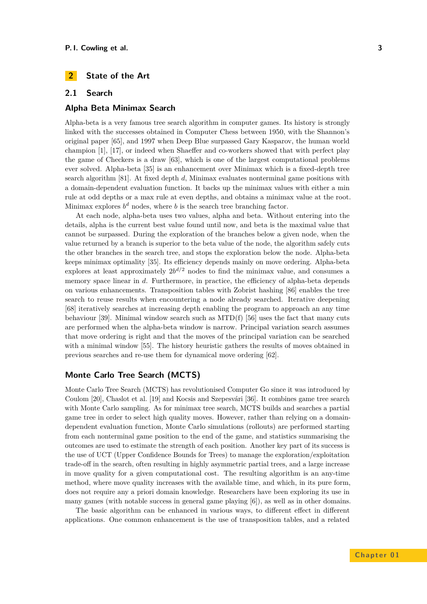# **2 State of the Art**

## **2.1 Search**

## **Alpha Beta Minimax Search**

Alpha-beta is a very famous tree search algorithm in computer games. Its history is strongly linked with the successes obtained in Computer Chess between 1950, with the Shannon's original paper [\[65\]](#page-17-0), and 1997 when Deep Blue surpassed Gary Kasparov, the human world champion [\[1\]](#page-14-0), [\[17\]](#page-15-0), or indeed when Shaeffer and co-workers showed that with perfect play the game of Checkers is a draw [\[63\]](#page-17-1), which is one of the largest computational problems ever solved. Alpha-beta [\[35\]](#page-16-0) is an enhancement over Minimax which is a fixed-depth tree search algorithm [\[81\]](#page-18-2). At fixed depth *d*, Minimax evaluates nonterminal game positions with a domain-dependent evaluation function. It backs up the minimax values with either a min rule at odd depths or a max rule at even depths, and obtains a minimax value at the root. Minimax explores  $b^d$  nodes, where *b* is the search tree branching factor.

At each node, alpha-beta uses two values, alpha and beta. Without entering into the details, alpha is the current best value found until now, and beta is the maximal value that cannot be surpassed. During the exploration of the branches below a given node, when the value returned by a branch is superior to the beta value of the node, the algorithm safely cuts the other branches in the search tree, and stops the exploration below the node. Alpha-beta keeps minimax optimality [\[35\]](#page-16-0). Its efficiency depends mainly on move ordering. Alpha-beta explores at least approximately  $2b^{d/2}$  nodes to find the minimax value, and consumes a memory space linear in *d*. Furthermore, in practice, the efficiency of alpha-beta depends on various enhancements. Transposition tables with Zobrist hashing [\[86\]](#page-18-3) enables the tree search to reuse results when encountering a node already searched. Iterative deepening [\[68\]](#page-17-2) iteratively searches at increasing depth enabling the program to approach an any time behaviour [\[39\]](#page-16-1). Minimal window search such as MTD(f) [\[56\]](#page-17-3) uses the fact that many cuts are performed when the alpha-beta window is narrow. Principal variation search assumes that move ordering is right and that the moves of the principal variation can be searched with a minimal window [\[55\]](#page-17-4). The history heuristic gathers the results of moves obtained in previous searches and re-use them for dynamical move ordering [\[62\]](#page-17-5).

# **Monte Carlo Tree Search (MCTS)**

Monte Carlo Tree Search (MCTS) has revolutionised Computer Go since it was introduced by Coulom [\[20\]](#page-15-1), Chaslot et al. [\[19\]](#page-15-2) and Kocsis and Szepesvári [\[36\]](#page-16-2). It combines game tree search with Monte Carlo sampling. As for minimax tree search, MCTS builds and searches a partial game tree in order to select high quality moves. However, rather than relying on a domaindependent evaluation function, Monte Carlo simulations (rollouts) are performed starting from each nonterminal game position to the end of the game, and statistics summarising the outcomes are used to estimate the strength of each position. Another key part of its success is the use of UCT (Upper Confidence Bounds for Trees) to manage the exploration/exploitation trade-off in the search, often resulting in highly asymmetric partial trees, and a large increase in move quality for a given computational cost. The resulting algorithm is an any-time method, where move quality increases with the available time, and which, in its pure form, does not require any a priori domain knowledge. Researchers have been exploring its use in many games (with notable success in general game playing [\[6\]](#page-14-1)), as well as in other domains.

The basic algorithm can be enhanced in various ways, to different effect in different applications. One common enhancement is the use of transposition tables, and a related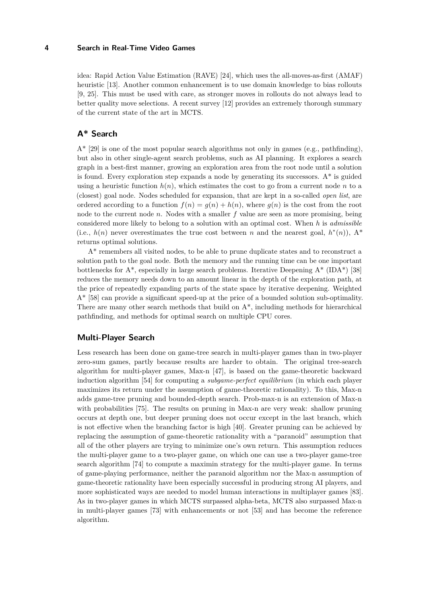idea: Rapid Action Value Estimation (RAVE) [\[24\]](#page-15-3), which uses the all-moves-as-first (AMAF) heuristic [\[13\]](#page-14-2). Another common enhancement is to use domain knowledge to bias rollouts [\[9,](#page-14-3) [25\]](#page-15-4). This must be used with care, as stronger moves in rollouts do not always lead to better quality move selections. A recent survey [\[12\]](#page-14-4) provides an extremely thorough summary of the current state of the art in MCTS.

# **A\* Search**

 $A^*$  [\[29\]](#page-15-5) is one of the most popular search algorithms not only in games (e.g., pathfinding), but also in other single-agent search problems, such as AI planning. It explores a search graph in a best-first manner, growing an exploration area from the root node until a solution is found. Every exploration step expands a node by generating its successors.  $A^*$  is guided using a heuristic function  $h(n)$ , which estimates the cost to go from a current node *n* to a (closest) goal node. Nodes scheduled for expansion, that are kept in a so-called *open list*, are ordered according to a function  $f(n) = g(n) + h(n)$ , where  $g(n)$  is the cost from the root node to the current node *n*. Nodes with a smaller *f* value are seen as more promising, being considered more likely to belong to a solution with an optimal cost. When *h* is *admissible* (i.e.,  $h(n)$  never overestimates the true cost between *n* and the nearest goal,  $h^*(n)$ ),  $A^*$ returns optimal solutions.

A\* remembers all visited nodes, to be able to prune duplicate states and to reconstruct a solution path to the goal node. Both the memory and the running time can be one important bottlenecks for  $A^*$ , especially in large search problems. Iterative Deepening  $A^*$  (IDA\*) [\[38\]](#page-16-3) reduces the memory needs down to an amount linear in the depth of the exploration path, at the price of repeatedly expanding parts of the state space by iterative deepening. Weighted A\* [\[58\]](#page-17-6) can provide a significant speed-up at the price of a bounded solution sub-optimality. There are many other search methods that build on  $A^*$ , including methods for hierarchical pathfinding, and methods for optimal search on multiple CPU cores.

## **Multi-Player Search**

Less research has been done on game-tree search in multi-player games than in two-player zero-sum games, partly because results are harder to obtain. The original tree-search algorithm for multi-player games, Max-n [\[47\]](#page-16-4), is based on the game-theoretic backward induction algorithm [\[54\]](#page-17-7) for computing a *subgame-perfect equilibrium* (in which each player maximizes its return under the assumption of game-theoretic rationality). To this, Max-n adds game-tree pruning and bounded-depth search. Prob-max-n is an extension of Max-n with probabilities [\[75\]](#page-17-8). The results on pruning in Max-n are very weak: shallow pruning occurs at depth one, but deeper pruning does not occur except in the last branch, which is not effective when the branching factor is high [\[40\]](#page-16-5). Greater pruning can be achieved by replacing the assumption of game-theoretic rationality with a "paranoid" assumption that all of the other players are trying to minimize one's own return. This assumption reduces the multi-player game to a two-player game, on which one can use a two-player game-tree search algorithm [\[74\]](#page-17-9) to compute a maximin strategy for the multi-player game. In terms of game-playing performance, neither the paranoid algorithm nor the Max-n assumption of game-theoretic rationality have been especially successful in producing strong AI players, and more sophisticated ways are needed to model human interactions in multiplayer games [\[83\]](#page-18-4). As in two-player games in which MCTS surpassed alpha-beta, MCTS also surpassed Max-n in multi-player games [\[73\]](#page-17-10) with enhancements or not [\[53\]](#page-16-6) and has become the reference algorithm.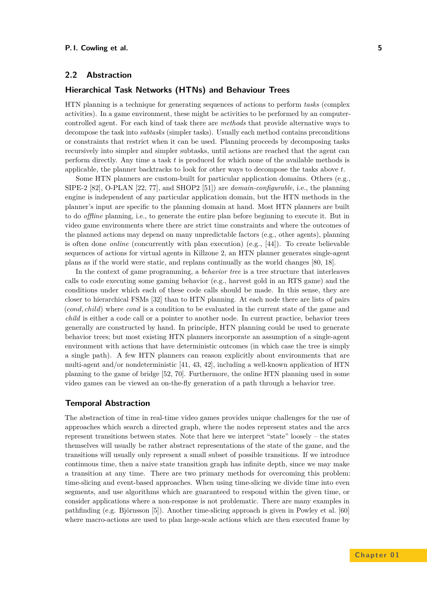## <span id="page-4-0"></span>**2.2 Abstraction**

## **Hierarchical Task Networks (HTNs) and Behaviour Trees**

HTN planning is a technique for generating sequences of actions to perform *tasks* (complex activities). In a game environment, these might be activities to be performed by an computercontrolled agent. For each kind of task there are *methods* that provide alternative ways to decompose the task into *subtasks* (simpler tasks). Usually each method contains preconditions or constraints that restrict when it can be used. Planning proceeds by decomposing tasks recursively into simpler and simpler subtasks, until actions are reached that the agent can perform directly. Any time a task *t* is produced for which none of the available methods is applicable, the planner backtracks to look for other ways to decompose the tasks above *t*.

Some HTN planners are custom-built for particular application domains. Others (e.g., SIPE-2 [\[82\]](#page-18-5), O-PLAN [\[22,](#page-15-6) [77\]](#page-18-6), and SHOP2 [\[51\]](#page-16-7)) are *domain-configurable*, i.e., the planning engine is independent of any particular application domain, but the HTN methods in the planner's input are specific to the planning domain at hand. Most HTN planners are built to do *offline* planning, i.e., to generate the entire plan before beginning to execute it. But in video game environments where there are strict time constraints and where the outcomes of the planned actions may depend on many unpredictable factors (e.g., other agents), planning is often done *online* (concurrently with plan execution) (e.g., [\[44\]](#page-16-8)). To create believable sequences of actions for virtual agents in Killzone 2, an HTN planner generates single-agent plans as if the world were static, and replans continually as the world changes [\[80,](#page-18-7) [18\]](#page-15-7).

In the context of game programming, a *behavior tree* is a tree structure that interleaves calls to code executing some gaming behavior (e.g., harvest gold in an RTS game) and the conditions under which each of these code calls should be made. In this sense, they are closer to hierarchical FSMs [\[32\]](#page-16-9) than to HTN planning. At each node there are lists of pairs (*cond, child*) where *cond* is a condition to be evaluated in the current state of the game and *child* is either a code call or a pointer to another node. In current practice, behavior trees generally are constructed by hand. In principle, HTN planning could be used to generate behavior trees; but most existing HTN planners incorporate an assumption of a single-agent environment with actions that have deterministic outcomes (in which case the tree is simply a single path). A few HTN planners can reason explicitly about environments that are multi-agent and/or nondeterministic [\[41,](#page-16-10) [43,](#page-16-11) [42\]](#page-16-12), including a well-known application of HTN planning to the game of bridge [\[52,](#page-16-13) [70\]](#page-17-11). Furthermore, the online HTN planning used in some video games can be viewed an on-the-fly generation of a path through a behavior tree.

#### **Temporal Abstraction**

The abstraction of time in real-time video games provides unique challenges for the use of approaches which search a directed graph, where the nodes represent states and the arcs represent transitions between states. Note that here we interpret "state" loosely – the states themselves will usually be rather abstract representations of the state of the game, and the transitions will usually only represent a small subset of possible transitions. If we introduce continuous time, then a naive state transition graph has infinite depth, since we may make a transition at any time. There are two primary methods for overcoming this problem: time-slicing and event-based approaches. When using time-slicing we divide time into even segments, and use algorithms which are guaranteed to respond within the given time, or consider applications where a non-response is not problematic. There are many examples in pathfinding (e.g. Björnsson [\[5\]](#page-14-5)). Another time-slicing approach is given in Powley et al. [\[60\]](#page-17-12) where macro-actions are used to plan large-scale actions which are then executed frame by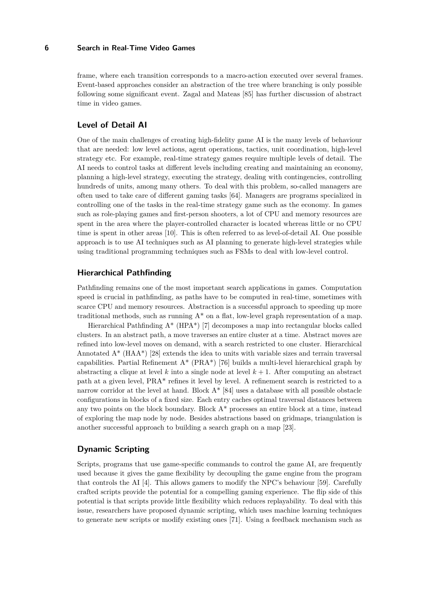frame, where each transition corresponds to a macro-action executed over several frames. Event-based approaches consider an abstraction of the tree where branching is only possible following some significant event. Zagal and Mateas [\[85\]](#page-18-8) has further discussion of abstract time in video games.

#### **Level of Detail AI**

One of the main challenges of creating high-fidelity game AI is the many levels of behaviour that are needed: low level actions, agent operations, tactics, unit coordination, high-level strategy etc. For example, real-time strategy games require multiple levels of detail. The AI needs to control tasks at different levels including creating and maintaining an economy, planning a high-level strategy, executing the strategy, dealing with contingencies, controlling hundreds of units, among many others. To deal with this problem, so-called managers are often used to take care of different gaming tasks [\[64\]](#page-17-13). Managers are programs specialized in controlling one of the tasks in the real-time strategy game such as the economy. In games such as role-playing games and first-person shooters, a lot of CPU and memory resources are spent in the area where the player-controlled character is located whereas little or no CPU time is spent in other areas [\[10\]](#page-14-6). This is often referred to as level-of-detail AI. One possible approach is to use AI techniques such as AI planning to generate high-level strategies while using traditional programming techniques such as FSMs to deal with low-level control.

## **Hierarchical Pathfinding**

Pathfinding remains one of the most important search applications in games. Computation speed is crucial in pathfinding, as paths have to be computed in real-time, sometimes with scarce CPU and memory resources. Abstraction is a successful approach to speeding up more traditional methods, such as running  $A^*$  on a flat, low-level graph representation of a map.

Hierarchical Pathfinding A\* (HPA\*) [\[7\]](#page-14-7) decomposes a map into rectangular blocks called clusters. In an abstract path, a move traverses an entire cluster at a time. Abstract moves are refined into low-level moves on demand, with a search restricted to one cluster. Hierarchical Annotated  $A^*$  (HA $A^*$ ) [\[28\]](#page-15-8) extends the idea to units with variable sizes and terrain traversal capabilities. Partial Refinement  $A^*$  (PRA<sup>\*</sup>) [\[76\]](#page-18-9) builds a multi-level hierarchical graph by abstracting a clique at level  $k$  into a single node at level  $k + 1$ . After computing an abstract path at a given level, PRA\* refines it level by level. A refinement search is restricted to a narrow corridor at the level at hand. Block A\* [\[84\]](#page-18-10) uses a database with all possible obstacle configurations in blocks of a fixed size. Each entry caches optimal traversal distances between any two points on the block boundary. Block  $A^*$  processes an entire block at a time, instead of exploring the map node by node. Besides abstractions based on gridmaps, triangulation is another successful approach to building a search graph on a map [\[23\]](#page-15-9).

## **Dynamic Scripting**

Scripts, programs that use game-specific commands to control the game AI, are frequently used because it gives the game flexibility by decoupling the game engine from the program that controls the AI [\[4\]](#page-14-8). This allows gamers to modify the NPC's behaviour [\[59\]](#page-17-14). Carefully crafted scripts provide the potential for a compelling gaming experience. The flip side of this potential is that scripts provide little flexibility which reduces replayability. To deal with this issue, researchers have proposed dynamic scripting, which uses machine learning techniques to generate new scripts or modify existing ones [\[71\]](#page-17-15). Using a feedback mechanism such as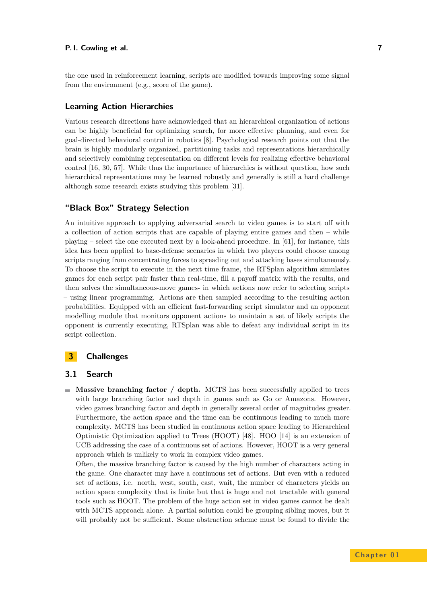the one used in reinforcement learning, scripts are modified towards improving some signal from the environment (e.g., score of the game).

## **Learning Action Hierarchies**

Various research directions have acknowledged that an hierarchical organization of actions can be highly beneficial for optimizing search, for more effective planning, and even for goal-directed behavioral control in robotics [\[8\]](#page-14-9). Psychological research points out that the brain is highly modularly organized, partitioning tasks and representations hierarchically and selectively combining representation on different levels for realizing effective behavioral control [\[16,](#page-15-10) [30,](#page-15-11) [57\]](#page-17-16). While thus the importance of hierarchies is without question, how such hierarchical representations may be learned robustly and generally is still a hard challenge although some research exists studying this problem [\[31\]](#page-15-12).

## **"Black Box" Strategy Selection**

An intuitive approach to applying adversarial search to video games is to start off with a collection of action scripts that are capable of playing entire games and then – while playing – select the one executed next by a look-ahead procedure. In [\[61\]](#page-17-17), for instance, this idea has been applied to base-defense scenarios in which two players could choose among scripts ranging from concentrating forces to spreading out and attacking bases simultaneously. To choose the script to execute in the next time frame, the RTSplan algorithm simulates games for each script pair faster than real-time, fill a payoff matrix with the results, and then solves the simultaneous-move games- in which actions now refer to selecting scripts – using linear programming. Actions are then sampled according to the resulting action probabilities. Equipped with an efficient fast-forwarding script simulator and an opponent modelling module that monitors opponent actions to maintain a set of likely scripts the opponent is currently executing, RTSplan was able to defeat any individual script in its script collection.

# **3 Challenges**

#### <span id="page-6-0"></span>**3.1 Search**

**Massive branching factor / depth.** MCTS has been successfully applied to trees with large branching factor and depth in games such as Go or Amazons. However, video games branching factor and depth in generally several order of magnitudes greater. Furthermore, the action space and the time can be continuous leading to much more complexity. MCTS has been studied in continuous action space leading to Hierarchical Optimistic Optimization applied to Trees (HOOT) [\[48\]](#page-16-14). HOO [\[14\]](#page-15-13) is an extension of UCB addressing the case of a continuous set of actions. However, HOOT is a very general approach which is unlikely to work in complex video games.

Often, the massive branching factor is caused by the high number of characters acting in the game. One character may have a continuous set of actions. But even with a reduced set of actions, i.e. north, west, south, east, wait, the number of characters yields an action space complexity that is finite but that is huge and not tractable with general tools such as HOOT. The problem of the huge action set in video games cannot be dealt with MCTS approach alone. A partial solution could be grouping sibling moves, but it will probably not be sufficient. Some abstraction scheme must be found to divide the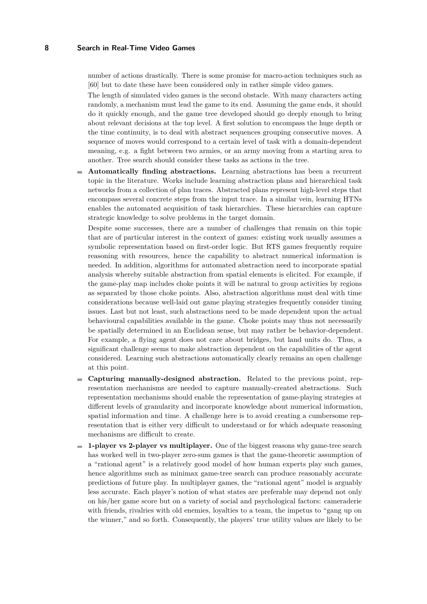number of actions drastically. There is some promise for macro-action techniques such as [\[60\]](#page-17-12) but to date these have been considered only in rather simple video games.

The length of simulated video games is the second obstacle. With many characters acting randomly, a mechanism must lead the game to its end. Assuming the game ends, it should do it quickly enough, and the game tree developed should go deeply enough to bring about relevant decisions at the top level. A first solution to encompass the huge depth or the time continuity, is to deal with abstract sequences grouping consecutive moves. A sequence of moves would correspond to a certain level of task with a domain-dependent meaning, e.g. a fight between two armies, or an army moving from a starting area to another. Tree search should consider these tasks as actions in the tree.

**Automatically finding abstractions.** Learning abstractions has been a recurrent topic in the literature. Works include learning abstraction plans and hierarchical task networks from a collection of plan traces. Abstracted plans represent high-level steps that encompass several concrete steps from the input trace. In a similar vein, learning HTNs enables the automated acquisition of task hierarchies. These hierarchies can capture strategic knowledge to solve problems in the target domain.

Despite some successes, there are a number of challenges that remain on this topic that are of particular interest in the context of games: existing work usually assumes a symbolic representation based on first-order logic. But RTS games frequently require reasoning with resources, hence the capability to abstract numerical information is needed. In addition, algorithms for automated abstraction need to incorporate spatial analysis whereby suitable abstraction from spatial elements is elicited. For example, if the game-play map includes choke points it will be natural to group activities by regions as separated by those choke points. Also, abstraction algorithms must deal with time considerations because well-laid out game playing strategies frequently consider timing issues. Last but not least, such abstractions need to be made dependent upon the actual behavioural capabilities available in the game. Choke points may thus not necessarily be spatially determined in an Euclidean sense, but may rather be behavior-dependent. For example, a flying agent does not care about bridges, but land units do. Thus, a significant challenge seems to make abstraction dependent on the capabilities of the agent considered. Learning such abstractions automatically clearly remains an open challenge at this point.

- **Capturing manually-designed abstraction.** Related to the previous point, rep- $\overline{\phantom{a}}$ resentation mechanisms are needed to capture manually-created abstractions. Such representation mechanisms should enable the representation of game-playing strategies at different levels of granularity and incorporate knowledge about numerical information, spatial information and time. A challenge here is to avoid creating a cumbersome representation that is either very difficult to understand or for which adequate reasoning mechanisms are difficult to create.
- **1-player vs 2-player vs multiplayer.** One of the biggest reasons why game-tree search has worked well in two-player zero-sum games is that the game-theoretic assumption of a "rational agent" is a relatively good model of how human experts play such games, hence algorithms such as minimax game-tree search can produce reasonably accurate predictions of future play. In multiplayer games, the "rational agent" model is arguably less accurate. Each player's notion of what states are preferable may depend not only on his/her game score but on a variety of social and psychological factors: cameraderie with friends, rivalries with old enemies, loyalties to a team, the impetus to "gang up on the winner," and so forth. Consequently, the players' true utility values are likely to be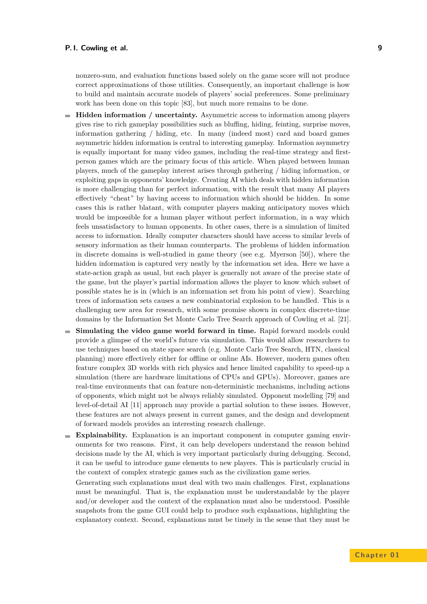nonzero-sum, and evaluation functions based solely on the game score will not produce correct approximations of those utilities. Consequently, an important challenge is how to build and maintain accurate models of players' social preferences. Some preliminary work has been done on this topic [\[83\]](#page-18-4), but much more remains to be done.

- **Hidden information / uncertainty.** Asymmetric access to information among players gives rise to rich gameplay possibilities such as bluffing, hiding, feinting, surprise moves, information gathering / hiding, etc. In many (indeed most) card and board games asymmetric hidden information is central to interesting gameplay. Information asymmetry is equally important for many video games, including the real-time strategy and firstperson games which are the primary focus of this article. When played between human players, much of the gameplay interest arises through gathering / hiding information, or exploiting gaps in opponents' knowledge. Creating AI which deals with hidden information is more challenging than for perfect information, with the result that many AI players effectively "cheat" by having access to information which should be hidden. In some cases this is rather blatant, with computer players making anticipatory moves which would be impossible for a human player without perfect information, in a way which feels unsatisfactory to human opponents. In other cases, there is a simulation of limited access to information. Ideally computer characters should have access to similar levels of sensory information as their human counterparts. The problems of hidden information in discrete domains is well-studied in game theory (see e.g. Myerson [\[50\]](#page-16-15)), where the hidden information is captured very neatly by the information set idea. Here we have a state-action graph as usual, but each player is generally not aware of the precise state of the game, but the player's partial information allows the player to know which subset of possible states he is in (which is an information set from his point of view). Searching trees of information sets causes a new combinatorial explosion to be handled. This is a challenging new area for research, with some promise shown in complex discrete-time domains by the Information Set Monte Carlo Tree Search approach of Cowling et al. [\[21\]](#page-15-14).
- **Simulating the video game world forward in time.** Rapid forward models could provide a glimpse of the world's future via simulation. This would allow researchers to use techniques based on state space search (e.g. Monte Carlo Tree Search, HTN, classical planning) more effectively either for offline or online AIs. However, modern games often feature complex 3D worlds with rich physics and hence limited capability to speed-up a simulation (there are hardware limitations of CPUs and GPUs). Moreover, games are real-time environments that can feature non-deterministic mechanisms, including actions of opponents, which might not be always reliably simulated. Opponent modelling [\[79\]](#page-18-11) and level-of-detail AI [\[11\]](#page-14-10) approach may provide a partial solution to these issues. However, these features are not always present in current games, and the design and development of forward models provides an interesting research challenge.
- **Explainability.** Explanation is an important component in computer gaming environments for two reasons. First, it can help developers understand the reason behind decisions made by the AI, which is very important particularly during debugging. Second, it can be useful to introduce game elements to new players. This is particularly crucial in the context of complex strategic games such as the civilization game series.

Generating such explanations must deal with two main challenges. First, explanations must be meaningful. That is, the explanation must be understandable by the player and/or developer and the context of the explanation must also be understood. Possible snapshots from the game GUI could help to produce such explanations, highlighting the explanatory context. Second, explanations must be timely in the sense that they must be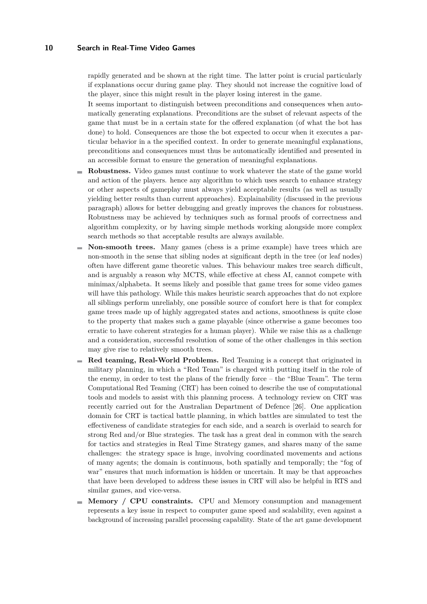rapidly generated and be shown at the right time. The latter point is crucial particularly if explanations occur during game play. They should not increase the cognitive load of the player, since this might result in the player losing interest in the game.

It seems important to distinguish between preconditions and consequences when automatically generating explanations. Preconditions are the subset of relevant aspects of the game that must be in a certain state for the offered explanation (of what the bot has done) to hold. Consequences are those the bot expected to occur when it executes a particular behavior in a the specified context. In order to generate meaningful explanations, preconditions and consequences must thus be automatically identified and presented in an accessible format to ensure the generation of meaningful explanations.

- **Robustness.** Video games must continue to work whatever the state of the game world m. and action of the players. hence any algorithm to which uses search to enhance strategy or other aspects of gameplay must always yield acceptable results (as well as usually yielding better results than current approaches). Explainability (discussed in the previous paragraph) allows for better debugging and greatly improves the chances for robustness. Robustness may be achieved by techniques such as formal proofs of correctness and algorithm complexity, or by having simple methods working alongside more complex search methods so that acceptable results are always available.
- **Non-smooth trees.** Many games (chess is a prime example) have trees which are non-smooth in the sense that sibling nodes at significant depth in the tree (or leaf nodes) often have different game theoretic values. This behaviour makes tree search difficult, and is arguably a reason why MCTS, while effective at chess AI, cannot compete with minimax/alphabeta. It seems likely and possible that game trees for some video games will have this pathology. While this makes heuristic search approaches that do not explore all siblings perform unreliably, one possible source of comfort here is that for complex game trees made up of highly aggregated states and actions, smoothness is quite close to the property that makes such a game playable (since otherwise a game becomes too erratic to have coherent strategies for a human player). While we raise this as a challenge and a consideration, successful resolution of some of the other challenges in this section may give rise to relatively smooth trees.
- **Red teaming, Real-World Problems.** Red Teaming is a concept that originated in and i military planning, in which a "Red Team" is charged with putting itself in the role of the enemy, in order to test the plans of the friendly force – the "Blue Team". The term Computational Red Teaming (CRT) has been coined to describe the use of computational tools and models to assist with this planning process. A technology review on CRT was recently carried out for the Australian Department of Defence [\[26\]](#page-15-15). One application domain for CRT is tactical battle planning, in which battles are simulated to test the effectiveness of candidate strategies for each side, and a search is overlaid to search for strong Red and/or Blue strategies. The task has a great deal in common with the search for tactics and strategies in Real Time Strategy games, and shares many of the same challenges: the strategy space is huge, involving coordinated movements and actions of many agents; the domain is continuous, both spatially and temporally; the "fog of war" ensures that much information is hidden or uncertain. It may be that approaches that have been developed to address these issues in CRT will also be helpful in RTS and similar games, and vice-versa.
- **Memory / CPU constraints.** CPU and Memory consumption and management represents a key issue in respect to computer game speed and scalability, even against a background of increasing parallel processing capability. State of the art game development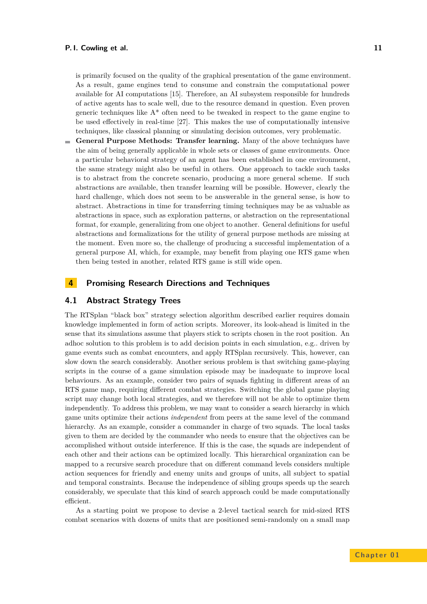is primarily focused on the quality of the graphical presentation of the game environment. As a result, game engines tend to consume and constrain the computational power available for AI computations [\[15\]](#page-15-16). Therefore, an AI subsystem responsible for hundreds of active agents has to scale well, due to the resource demand in question. Even proven generic techniques like  $A^*$  often need to be tweaked in respect to the game engine to be used effectively in real-time [\[27\]](#page-15-17). This makes the use of computationally intensive techniques, like classical planning or simulating decision outcomes, very problematic.

**General Purpose Methods: Transfer learning.** Many of the above techniques have the aim of being generally applicable in whole sets or classes of game environments. Once a particular behavioral strategy of an agent has been established in one environment, the same strategy might also be useful in others. One approach to tackle such tasks is to abstract from the concrete scenario, producing a more general scheme. If such abstractions are available, then transfer learning will be possible. However, clearly the hard challenge, which does not seem to be answerable in the general sense, is how to abstract. Abstractions in time for transferring timing techniques may be as valuable as abstractions in space, such as exploration patterns, or abstraction on the representational format, for example, generalizing from one object to another. General definitions for useful abstractions and formalizations for the utility of general purpose methods are missing at the moment. Even more so, the challenge of producing a successful implementation of a general purpose AI, which, for example, may benefit from playing one RTS game when then being tested in another, related RTS game is still wide open.

## **4 Promising Research Directions and Techniques**

## **4.1 Abstract Strategy Trees**

The RTSplan "black box" strategy selection algorithm described earlier requires domain knowledge implemented in form of action scripts. Moreover, its look-ahead is limited in the sense that its simulations assume that players stick to scripts chosen in the root position. An adhoc solution to this problem is to add decision points in each simulation, e.g.. driven by game events such as combat encounters, and apply RTSplan recursively. This, however, can slow down the search considerably. Another serious problem is that switching game-playing scripts in the course of a game simulation episode may be inadequate to improve local behaviours. As an example, consider two pairs of squads fighting in different areas of an RTS game map, requiring different combat strategies. Switching the global game playing script may change both local strategies, and we therefore will not be able to optimize them independently. To address this problem, we may want to consider a search hierarchy in which game units optimize their actions *independent* from peers at the same level of the command hierarchy. As an example, consider a commander in charge of two squads. The local tasks given to them are decided by the commander who needs to ensure that the objectives can be accomplished without outside interference. If this is the case, the squads are independent of each other and their actions can be optimized locally. This hierarchical organization can be mapped to a recursive search procedure that on different command levels considers multiple action sequences for friendly and enemy units and groups of units, all subject to spatial and temporal constraints. Because the independence of sibling groups speeds up the search considerably, we speculate that this kind of search approach could be made computationally efficient.

As a starting point we propose to devise a 2-level tactical search for mid-sized RTS combat scenarios with dozens of units that are positioned semi-randomly on a small map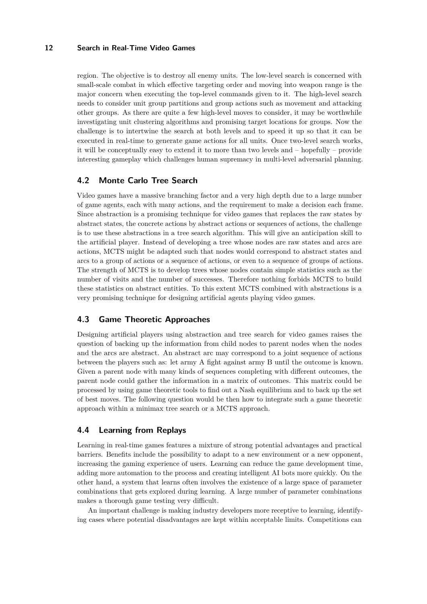region. The objective is to destroy all enemy units. The low-level search is concerned with small-scale combat in which effective targeting order and moving into weapon range is the major concern when executing the top-level commands given to it. The high-level search needs to consider unit group partitions and group actions such as movement and attacking other groups. As there are quite a few high-level moves to consider, it may be worthwhile investigating unit clustering algorithms and promising target locations for groups. Now the challenge is to intertwine the search at both levels and to speed it up so that it can be executed in real-time to generate game actions for all units. Once two-level search works, it will be conceptually easy to extend it to more than two levels and – hopefully – provide interesting gameplay which challenges human supremacy in multi-level adversarial planning.

## **4.2 Monte Carlo Tree Search**

Video games have a massive branching factor and a very high depth due to a large number of game agents, each with many actions, and the requirement to make a decision each frame. Since abstraction is a promising technique for video games that replaces the raw states by abstract states, the concrete actions by abstract actions or sequences of actions, the challenge is to use these abstractions in a tree search algorithm. This will give an anticipation skill to the artificial player. Instead of developing a tree whose nodes are raw states and arcs are actions, MCTS might be adapted such that nodes would correspond to abstract states and arcs to a group of actions or a sequence of actions, or even to a sequence of groups of actions. The strength of MCTS is to develop trees whose nodes contain simple statistics such as the number of visits and the number of successes. Therefore nothing forbids MCTS to build these statistics on abstract entities. To this extent MCTS combined with abstractions is a very promising technique for designing artificial agents playing video games.

# **4.3 Game Theoretic Approaches**

Designing artificial players using abstraction and tree search for video games raises the question of backing up the information from child nodes to parent nodes when the nodes and the arcs are abstract. An abstract arc may correspond to a joint sequence of actions between the players such as: let army A fight against army B until the outcome is known. Given a parent node with many kinds of sequences completing with different outcomes, the parent node could gather the information in a matrix of outcomes. This matrix could be processed by using game theoretic tools to find out a Nash equilibrium and to back up the set of best moves. The following question would be then how to integrate such a game theoretic approach within a minimax tree search or a MCTS approach.

## **4.4 Learning from Replays**

Learning in real-time games features a mixture of strong potential advantages and practical barriers. Benefits include the possibility to adapt to a new environment or a new opponent, increasing the gaming experience of users. Learning can reduce the game development time, adding more automation to the process and creating intelligent AI bots more quickly. On the other hand, a system that learns often involves the existence of a large space of parameter combinations that gets explored during learning. A large number of parameter combinations makes a thorough game testing very difficult.

An important challenge is making industry developers more receptive to learning, identifying cases where potential disadvantages are kept within acceptable limits. Competitions can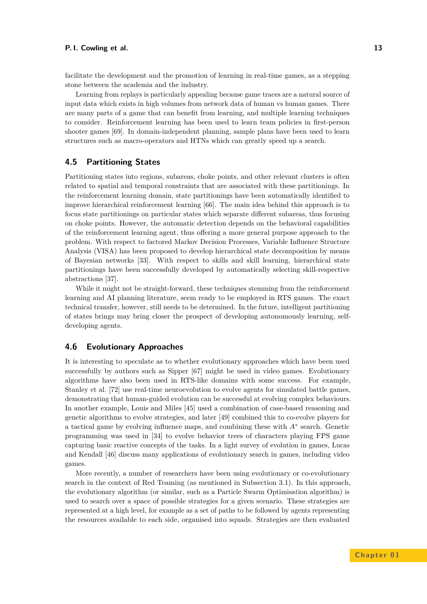facilitate the development and the promotion of learning in real-time games, as a stepping stone between the academia and the industry.

Learning from replays is particularly appealing because game traces are a natural source of input data which exists in high volumes from network data of human vs human games. There are many parts of a game that can benefit from learning, and multiple learning techniques to consider. Reinforcement learning has been used to learn team policies in first-person shooter games [\[69\]](#page-17-18). In domain-independent planning, sample plans have been used to learn structures such as macro-operators and HTNs which can greatly speed up a search.

## **4.5 Partitioning States**

Partitioning states into regions, subareas, choke points, and other relevant clusters is often related to spatial and temporal constraints that are associated with these partitionings. In the reinforcement learning domain, state partitionings have been automatically identified to improve hierarchical reinforcement learning [\[66\]](#page-17-19). The main idea behind this approach is to focus state partitionings on particular states which separate different subareas, thus focusing on choke points. However, the automatic detection depends on the behavioral capabilities of the reinforcement learning agent, thus offering a more general purpose approach to the problem. With respect to factored Markov Decision Processes, Variable Influence Structure Analysis (VISA) has been proposed to develop hierarchical state decomposition by means of Bayesian networks [\[33\]](#page-16-16). With respect to skills and skill learning, hierarchical state partitionings have been successfully developed by automatically selecting skill-respective abstractions [\[37\]](#page-16-17).

While it might not be straight-forward, these techniques stemming from the reinforcement learning and AI planning literature, seem ready to be employed in RTS games. The exact technical transfer, however, still needs to be determined. In the future, intelligent partitioning of states brings may bring closer the prospect of developing autonomously learning, selfdeveloping agents.

#### **4.6 Evolutionary Approaches**

It is interesting to speculate as to whether evolutionary approaches which have been used successfully by authors such as Sipper [\[67\]](#page-17-20) might be used in video games. Evolutionary algorithms have also been used in RTS-like domains with some success. For example, Stanley et al. [\[72\]](#page-17-21) use real-time neuroevolution to evolve agents for simulated battle games, demonstrating that human-guided evolution can be successful at evolving complex behaviours. In another example, Louis and Miles [\[45\]](#page-16-18) used a combination of case-based reasoning and genetic algorithms to evolve strategies, and later [\[49\]](#page-16-19) combined this to co-evolve players for a tactical game by evolving influence maps, and combining these with *A*<sup>∗</sup> search. Genetic programming was used in [\[34\]](#page-16-20) to evolve behavior trees of characters playing FPS game capturing basic reactive concepts of the tasks. In a light survey of evolution in games, Lucas and Kendall [\[46\]](#page-16-21) discuss many applications of evolutionary search in games, including video games.

More recently, a number of researchers have been using evolutionary or co-evolutionary search in the context of Red Teaming (as mentioned in Subsection [3.1\)](#page-6-0). In this approach, the evolutionary algorithm (or similar, such as a Particle Swarm Optimisation algorithm) is used to search over a space of possible strategies for a given scenario. These strategies are represented at a high level, for example as a set of paths to be followed by agents representing the resources available to each side, organised into squads. Strategies are then evaluated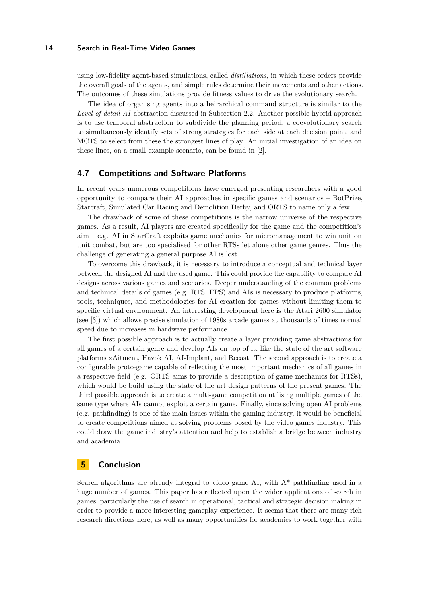using low-fidelity agent-based simulations, called *distillations*, in which these orders provide the overall goals of the agents, and simple rules determine their movements and other actions. The outcomes of these simulations provide fitness values to drive the evolutionary search.

The idea of organising agents into a heirarchical command structure is similar to the *Level of detail AI* abstraction discussed in Subsection [2.2.](#page-4-0) Another possible hybrid approach is to use temporal abstraction to subdivide the planning period, a coevolutionary search to simultaneously identify sets of strong strategies for each side at each decision point, and MCTS to select from these the strongest lines of play. An initial investigation of an idea on these lines, on a small example scenario, can be found in [\[2\]](#page-14-11).

## **4.7 Competitions and Software Platforms**

In recent years numerous competitions have emerged presenting researchers with a good opportunity to compare their AI approaches in specific games and scenarios – BotPrize, Starcraft, Simulated Car Racing and Demolition Derby, and ORTS to name only a few.

The drawback of some of these competitions is the narrow universe of the respective games. As a result, AI players are created specifically for the game and the competition's aim – e.g. AI in StarCraft exploits game mechanics for micromanagement to win unit on unit combat, but are too specialised for other RTSs let alone other game genres. Thus the challenge of generating a general purpose AI is lost.

To overcome this drawback, it is necessary to introduce a conceptual and technical layer between the designed AI and the used game. This could provide the capability to compare AI designs across various games and scenarios. Deeper understanding of the common problems and technical details of games (e.g. RTS, FPS) and AIs is necessary to produce platforms, tools, techniques, and methodologies for AI creation for games without limiting them to specific virtual environment. An interesting development here is the Atari 2600 simulator (see [\[3\]](#page-14-12)) which allows precise simulation of 1980s arcade games at thousands of times normal speed due to increases in hardware performance.

The first possible approach is to actually create a layer providing game abstractions for all games of a certain genre and develop AIs on top of it, like the state of the art software platforms xAitment, Havok AI, AI-Implant, and Recast. The second approach is to create a configurable proto-game capable of reflecting the most important mechanics of all games in a respective field (e.g. ORTS aims to provide a description of game mechanics for RTSs), which would be build using the state of the art design patterns of the present games. The third possible approach is to create a multi-game competition utilizing multiple games of the same type where AIs cannot exploit a certain game. Finally, since solving open AI problems (e.g. pathfinding) is one of the main issues within the gaming industry, it would be beneficial to create competitions aimed at solving problems posed by the video games industry. This could draw the game industry's attention and help to establish a bridge between industry and academia.

## **5 Conclusion**

Search algorithms are already integral to video game AI, with  $A^*$  pathfinding used in a huge number of games. This paper has reflected upon the wider applications of search in games, particularly the use of search in operational, tactical and strategic decision making in order to provide a more interesting gameplay experience. It seems that there are many rich research directions here, as well as many opportunities for academics to work together with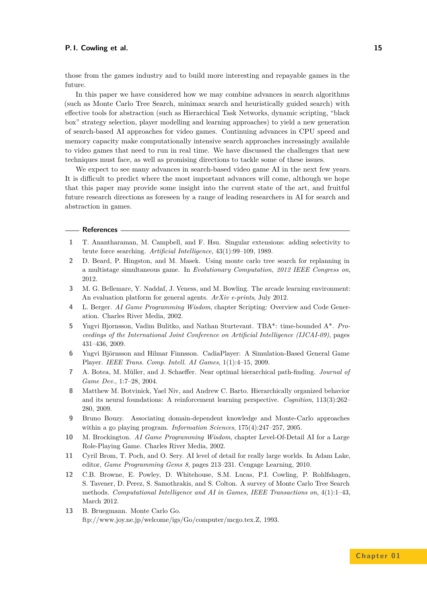those from the games industry and to build more interesting and repayable games in the future.

In this paper we have considered how we may combine advances in search algorithms (such as Monte Carlo Tree Search, minimax search and heuristically guided search) with effective tools for abstraction (such as Hierarchical Task Networks, dynamic scripting, "black box" strategy selection, player modelling and learning approaches) to yield a new generation of search-based AI approaches for video games. Continuing advances in CPU speed and memory capacity make computationally intensive search approaches increasingly available to video games that need to run in real time. We have discussed the challenges that new techniques must face, as well as promising directions to tackle some of these issues.

We expect to see many advances in search-based video game AI in the next few years. It is difficult to predict where the most important advances will come, although we hope that this paper may provide some insight into the current state of the art, and fruitful future research directions as foreseen by a range of leading researchers in AI for search and abstraction in games.

#### **References**

- <span id="page-14-0"></span>**1** T. Anantharaman, M. Campbell, and F. Hsu. Singular extensions: adding selectivity to brute force searching. *Artificial Intelligence*, 43(1):99–109, 1989.
- <span id="page-14-11"></span>**2** D. Beard, P. Hingston, and M. Masek. Using monte carlo tree search for replanning in a multistage simultaneous game. In *Evolutionary Computation, 2012 IEEE Congress on*, 2012.
- <span id="page-14-12"></span>**3** M. G. Bellemare, Y. Naddaf, J. Veness, and M. Bowling. The arcade learning environment: An evaluation platform for general agents. *ArXiv e-prints*, July 2012.
- <span id="page-14-8"></span>**4** L. Berger. *AI Game Programming Wisdom*, chapter Scripting: Overview and Code Generation. Charles River Media, 2002.
- <span id="page-14-5"></span>**5** Yngvi Bjornsson, Vadim Bulitko, and Nathan Sturtevant. TBA\*: time-bounded A\*. *Proceedings of the International Joint Conference on Artificial Intelligence (IJCAI-09)*, pages 431–436, 2009.
- <span id="page-14-1"></span>**6** Yngvi Björnsson and Hilmar Finnsson. CadiaPlayer: A Simulation-Based General Game Player. *IEEE Trans. Comp. Intell. AI Games*, 1(1):4–15, 2009.
- <span id="page-14-7"></span>**7** A. Botea, M. Müller, and J. Schaeffer. Near optimal hierarchical path-finding. *Journal of Game Dev.*, 1:7–28, 2004.
- <span id="page-14-9"></span>**8** Matthew M. Botvinick, Yael Niv, and Andrew C. Barto. Hierarchically organized behavior and its neural foundations: A reinforcement learning perspective. *Cognition*, 113(3):262– 280, 2009.
- <span id="page-14-3"></span>**9** Bruno Bouzy. Associating domain-dependent knowledge and Monte-Carlo approaches within a go playing program. *Information Sciences*, 175(4):247–257, 2005.
- <span id="page-14-6"></span>**10** M. Brockington. *AI Game Programming Wisdom*, chapter Level-Of-Detail AI for a Large Role-Playing Game. Charles River Media, 2002.
- <span id="page-14-10"></span>**11** Cyril Brom, T. Poch, and O. Sery. AI level of detail for really large worlds. In Adam Lake, editor, *Game Programming Gems 8*, pages 213–231. Cengage Learning, 2010.
- <span id="page-14-4"></span>**12** C.B. Browne, E. Powley, D. Whitehouse, S.M. Lucas, P.I. Cowling, P. Rohlfshagen, S. Tavener, D. Perez, S. Samothrakis, and S. Colton. A survey of Monte Carlo Tree Search methods. *Computational Intelligence and AI in Games, IEEE Transactions on*, 4(1):1–43, March 2012.
- <span id="page-14-2"></span>**13** B. Bruegmann. Monte Carlo Go. ftp://www.joy.ne.jp/welcome/igs/Go/computer/mcgo.tex.Z, 1993.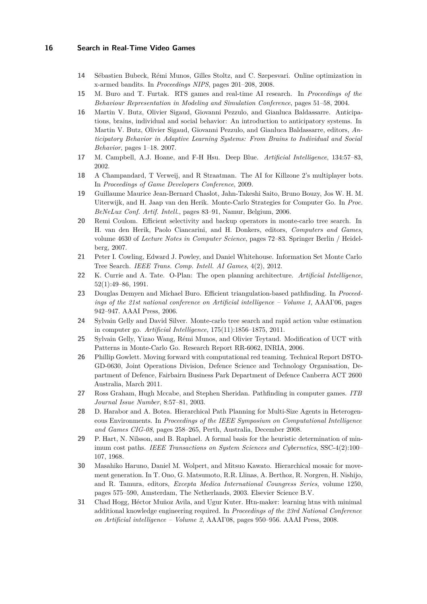- <span id="page-15-13"></span>**14** Sébastien Bubeck, Rémi Munos, Gilles Stoltz, and C. Szepesvari. Online optimization in x-armed bandits. In *Proceedings NIPS*, pages 201–208, 2008.
- <span id="page-15-16"></span>**15** M. Buro and T. Furtak. RTS games and real-time AI research. In *Proceedings of the Behaviour Representation in Modeling and Simulation Conference*, pages 51–58, 2004.
- <span id="page-15-10"></span>**16** Martin V. Butz, Olivier Sigaud, Giovanni Pezzulo, and Gianluca Baldassarre. Anticipations, brains, individual and social behavior: An introduction to anticipatory systems. In Martin V. Butz, Olivier Sigaud, Giovanni Pezzulo, and Gianluca Baldassarre, editors, *Anticipatory Behavior in Adaptive Learning Systems: From Brains to Individual and Social Behavior*, pages 1–18. 2007.
- <span id="page-15-0"></span>**17** M. Campbell, A.J. Hoane, and F-H Hsu. Deep Blue. *Artificial Intelligence*, 134:57–83, 2002.
- <span id="page-15-7"></span>**18** A Champandard, T Verweij, and R Straatman. The AI for Killzone 2's multiplayer bots. In *Proceedings of Game Developers Conference*, 2009.
- <span id="page-15-2"></span>**19** Guillaume Maurice Jean-Bernard Chaslot, Jahn-Takeshi Saito, Bruno Bouzy, Jos W. H. M. Uiterwijk, and H. Jaap van den Herik. Monte-Carlo Strategies for Computer Go. In *Proc. BeNeLux Conf. Artif. Intell.*, pages 83–91, Namur, Belgium, 2006.
- <span id="page-15-1"></span>**20** Remi Coulom. Efficient selectivity and backup operators in monte-carlo tree search. In H. van den Herik, Paolo Ciancarini, and H. Donkers, editors, *Computers and Games*, volume 4630 of *Lecture Notes in Computer Science*, pages 72–83. Springer Berlin / Heidelberg, 2007.
- <span id="page-15-14"></span>**21** Peter I. Cowling, Edward J. Powley, and Daniel Whitehouse. Information Set Monte Carlo Tree Search. *IEEE Trans. Comp. Intell. AI Games*, 4(2), 2012.
- <span id="page-15-6"></span>**22** K. Currie and A. Tate. O-Plan: The open planning architecture. *Artificial Intelligence*, 52(1):49–86, 1991.
- <span id="page-15-9"></span>**23** Douglas Demyen and Michael Buro. Efficient triangulation-based pathfinding. In *Proceedings of the 21st national conference on Artificial intelligence – Volume 1*, AAAI'06, pages 942–947. AAAI Press, 2006.
- <span id="page-15-3"></span>**24** Sylvain Gelly and David Silver. Monte-carlo tree search and rapid action value estimation in computer go. *Artificial Intelligence*, 175(11):1856–1875, 2011.
- <span id="page-15-4"></span>**25** Sylvain Gelly, Yizao Wang, Rémi Munos, and Olivier Teytaud. Modification of UCT with Patterns in Monte-Carlo Go. Research Report RR-6062, INRIA, 2006.
- <span id="page-15-15"></span>**26** Phillip Gowlett. Moving forward with computational red teaming. Technical Report DSTO-GD-0630, Joint Operations Division, Defence Science and Technology Organisation, Department of Defence, Fairbairn Business Park Department of Defence Canberra ACT 2600 Australia, March 2011.
- <span id="page-15-17"></span>**27** Ross Graham, Hugh Mccabe, and Stephen Sheridan. Pathfinding in computer games. *ITB Journal Issue Number*, 8:57–81, 2003.
- <span id="page-15-8"></span>**28** D. Harabor and A. Botea. Hierarchical Path Planning for Multi-Size Agents in Heterogeneous Environments. In *Proceedings of the IEEE Symposium on Computational Intelligence and Games CIG-08*, pages 258–265, Perth, Australia, December 2008.
- <span id="page-15-5"></span>**29** P. Hart, N. Nilsson, and B. Raphael. A formal basis for the heuristic determination of minimum cost paths. *IEEE Transactions on System Sciences and Cybernetics*, SSC-4(2):100– 107, 1968.
- <span id="page-15-11"></span>**30** Masahiko Haruno, Daniel M. Wolpert, and Mitsuo Kawato. Hierarchical mosaic for movement generation. In T. Ono, G. Matsumoto, R.R. Llinas, A. Berthoz, R. Norgren, H. Nishijo, and R. Tamura, editors, *Excepta Medica International Coungress Series*, volume 1250, pages 575–590, Amsterdam, The Netherlands, 2003. Elsevier Science B.V.
- <span id="page-15-12"></span>**31** Chad Hogg, Héctor Muñoz Avila, and Ugur Kuter. Htn-maker: learning htns with minimal additional knowledge engineering required. In *Proceedings of the 23rd National Conference on Artificial intelligence – Volume 2*, AAAI'08, pages 950–956. AAAI Press, 2008.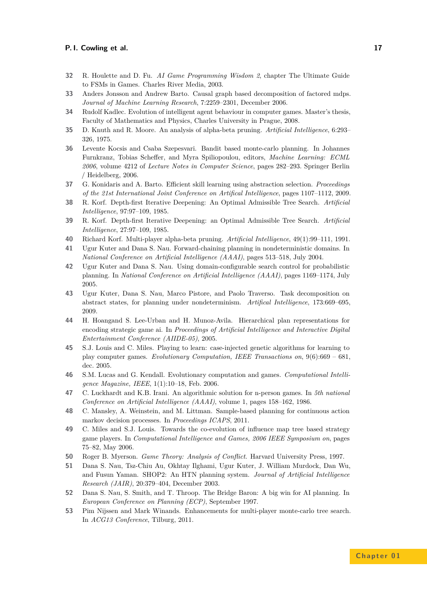- <span id="page-16-9"></span>**32** R. Houlette and D. Fu. *AI Game Programming Wisdom 2*, chapter The Ultimate Guide to FSMs in Games. Charles River Media, 2003.
- <span id="page-16-16"></span>**33** Anders Jonsson and Andrew Barto. Causal graph based decomposition of factored mdps. *Journal of Machine Learning Research*, 7:2259–2301, December 2006.
- <span id="page-16-20"></span>**34** Rudolf Kadlec. Evolution of intelligent agent behaviour in computer games. Master's thesis, Faculty of Mathematics and Physics, Charles University in Prague, 2008.
- <span id="page-16-0"></span>**35** D. Knuth and R. Moore. An analysis of alpha-beta pruning. *Artificial Intelligence*, 6:293– 326, 1975.
- <span id="page-16-2"></span>**36** Levente Kocsis and Csaba Szepesvari. Bandit based monte-carlo planning. In Johannes Furnkranz, Tobias Scheffer, and Myra Spiliopoulou, editors, *Machine Learning: ECML 2006*, volume 4212 of *Lecture Notes in Computer Science*, pages 282–293. Springer Berlin / Heidelberg, 2006.
- <span id="page-16-17"></span>**37** G. Konidaris and A. Barto. Efficient skill learning using abstraction selection. *Proceedings of the 21st International Joint Conference on Artifical Intelligence*, pages 1107–1112, 2009.
- <span id="page-16-3"></span>**38** R. Korf. Depth-first Iterative Deepening: An Optimal Admissible Tree Search. *Artificial Intelligence*, 97:97–109, 1985.
- <span id="page-16-1"></span>**39** R. Korf. Depth-first Iterative Deepening: an Optimal Admissible Tree Search. *Artificial Intelligence*, 27:97–109, 1985.
- <span id="page-16-5"></span>**40** Richard Korf. Multi-player alpha-beta pruning. *Artificial Intelligence*, 49(1):99–111, 1991.
- <span id="page-16-10"></span>**41** Ugur Kuter and Dana S. Nau. Forward-chaining planning in nondeterministic domains. In *National Conference on Artificial Intelligence (AAAI)*, pages 513–518, July 2004.
- <span id="page-16-12"></span>**42** Ugur Kuter and Dana S. Nau. Using domain-configurable search control for probabilistic planning. In *National Conference on Artificial Intelligence (AAAI)*, pages 1169–1174, July 2005.
- <span id="page-16-11"></span>**43** Ugur Kuter, Dana S. Nau, Marco Pistore, and Paolo Traverso. Task decomposition on abstract states, for planning under nondeterminism. *Artifical Intelligence*, 173:669–695, 2009.
- <span id="page-16-8"></span>**44** H. Hoangand S. Lee-Urban and H. Munoz-Avila. Hierarchical plan representations for encoding strategic game ai. In *Proceedings of Artificial Intelligence and Interactive Digital Entertainment Conference (AIIDE-05)*, 2005.
- <span id="page-16-18"></span>**45** S.J. Louis and C. Miles. Playing to learn: case-injected genetic algorithms for learning to play computer games. *Evolutionary Computation, IEEE Transactions on*, 9(6):669 – 681, dec. 2005.
- <span id="page-16-21"></span>**46** S.M. Lucas and G. Kendall. Evolutionary computation and games. *Computational Intelligence Magazine, IEEE*, 1(1):10–18, Feb. 2006.
- <span id="page-16-4"></span>**47** C. Luckhardt and K.B. Irani. An algorithmic solution for n-person games. In *5th national Conference on Artificial Intelligence (AAAI)*, volume 1, pages 158–162, 1986.
- <span id="page-16-14"></span>**48** C. Mansley, A. Weinstein, and M. Littman. Sample-based planning for continuous action markov decision processes. In *Proceedings ICAPS*, 2011.
- <span id="page-16-19"></span>**49** C. Miles and S.J. Louis. Towards the co-evolution of influence map tree based strategy game players. In *Computational Intelligence and Games, 2006 IEEE Symposium on*, pages 75–82, May 2006.
- <span id="page-16-15"></span>**50** Roger B. Myerson. *Game Theory: Analysis of Conflict*. Harvard University Press, 1997.
- <span id="page-16-7"></span>**51** Dana S. Nau, Tsz-Chiu Au, Okhtay Ilghami, Ugur Kuter, J. William Murdock, Dan Wu, and Fusun Yaman. SHOP2: An HTN planning system. *Journal of Artificial Intelligence Research (JAIR)*, 20:379–404, December 2003.
- <span id="page-16-13"></span>**52** Dana S. Nau, S. Smith, and T. Throop. The Bridge Baron: A big win for AI planning. In *European Conference on Planning (ECP)*, September 1997.
- <span id="page-16-6"></span>**53** Pim Nijssen and Mark Winands. Enhancements for multi-player monte-carlo tree search. In *ACG13 Conference*, Tilburg, 2011.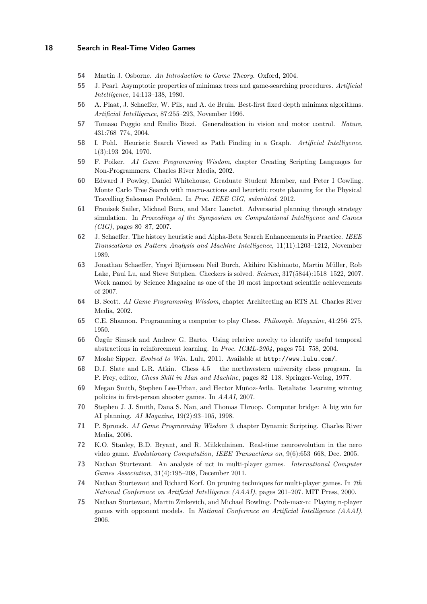- <span id="page-17-7"></span>**54** Martin J. Osborne. *An Introduction to Game Theory*. Oxford, 2004.
- <span id="page-17-4"></span>**55** J. Pearl. Asymptotic properties of minimax trees and game-searching procedures. *Artificial Intelligence*, 14:113–138, 1980.
- <span id="page-17-3"></span>**56** A. Plaat, J. Schaeffer, W. Pils, and A. de Bruin. Best-first fixed depth minimax algorithms. *Artificial Intelligence*, 87:255–293, November 1996.
- <span id="page-17-16"></span>**57** Tomaso Poggio and Emilio Bizzi. Generalization in vision and motor control. *Nature*, 431:768–774, 2004.
- <span id="page-17-6"></span>**58** I. Pohl. Heuristic Search Viewed as Path Finding in a Graph. *Artificial Intelligence*, 1(3):193–204, 1970.
- <span id="page-17-14"></span>**59** F. Poiker. *AI Game Programming Wisdom*, chapter Creating Scripting Languages for Non-Programmers. Charles River Media, 2002.
- <span id="page-17-12"></span>**60** Edward J Powley, Daniel Whitehouse, Graduate Student Member, and Peter I Cowling. Monte Carlo Tree Search with macro-actions and heuristic route planning for the Physical Travelling Salesman Problem. In *Proc. IEEE CIG, submitted*, 2012.
- <span id="page-17-17"></span>**61** Franisek Sailer, Michael Buro, and Marc Lanctot. Adversarial planning through strategy simulation. In *Proceedings of the Symposium on Computational Intelligence and Games (CIG)*, pages 80–87, 2007.
- <span id="page-17-5"></span>**62** J. Schaeffer. The history heuristic and Alpha-Beta Search Enhancements in Practice. *IEEE Transcations on Pattern Analysis and Machine Intelligence*, 11(11):1203–1212, November 1989.
- <span id="page-17-1"></span>**63** Jonathan Schaeffer, Yngvi Björnsson Neil Burch, Akihiro Kishimoto, Martin Müller, Rob Lake, Paul Lu, and Steve Sutphen. Checkers is solved. *Science*, 317(5844):1518–1522, 2007. Work named by Science Magazine as one of the 10 most important scientific achievements of 2007.
- <span id="page-17-13"></span>**64** B. Scott. *AI Game Programming Wisdom*, chapter Architecting an RTS AI. Charles River Media, 2002.
- <span id="page-17-0"></span>**65** C.E. Shannon. Programming a computer to play Chess. *Philosoph. Magazine*, 41:256–275, 1950.
- <span id="page-17-19"></span>**66** Özgür Simsek and Andrew G. Barto. Using relative novelty to identify useful temporal abstractions in reinforcement learning. In *Proc. ICML-2004*, pages 751–758, 2004.
- <span id="page-17-20"></span>**67** Moshe Sipper. *Evolved to Win*. Lulu, 2011. Available at <http://www.lulu.com/>.
- <span id="page-17-2"></span>**68** D.J. Slate and L.R. Atkin. Chess 4.5 – the northwestern university chess program. In P. Frey, editor, *Chess Skill in Man and Machine*, pages 82–118. Springer-Verlag, 1977.
- <span id="page-17-18"></span>**69** Megan Smith, Stephen Lee-Urban, and Hector Muñoz-Avila. Retaliate: Learning winning policies in first-person shooter games. In *AAAI*, 2007.
- <span id="page-17-11"></span>**70** Stephen J. J. Smith, Dana S. Nau, and Thomas Throop. Computer bridge: A big win for AI planning. *AI Magazine*, 19(2):93–105, 1998.
- <span id="page-17-15"></span>**71** P. Spronck. *AI Game Programming Wisdom 3*, chapter Dynamic Scripting. Charles River Media, 2006.
- <span id="page-17-21"></span>**72** K.O. Stanley, B.D. Bryant, and R. Miikkulainen. Real-time neuroevolution in the nero video game. *Evolutionary Computation, IEEE Transactions on*, 9(6):653–668, Dec. 2005.
- <span id="page-17-10"></span>**73** Nathan Sturtevant. An analysis of uct in multi-player games. *International Computer Games Association*, 31(4):195–208, December 2011.
- <span id="page-17-9"></span>**74** Nathan Sturtevant and Richard Korf. On pruning techniques for multi-player games. In *7th National Conference on Artificial Intelligence (AAAI)*, pages 201–207. MIT Press, 2000.
- <span id="page-17-8"></span>**75** Nathan Sturtevant, Martin Zinkevich, and Michael Bowling. Prob-max-n: Playing n-player games with opponent models. In *National Conference on Artificial Intelligence (AAAI)*, 2006.